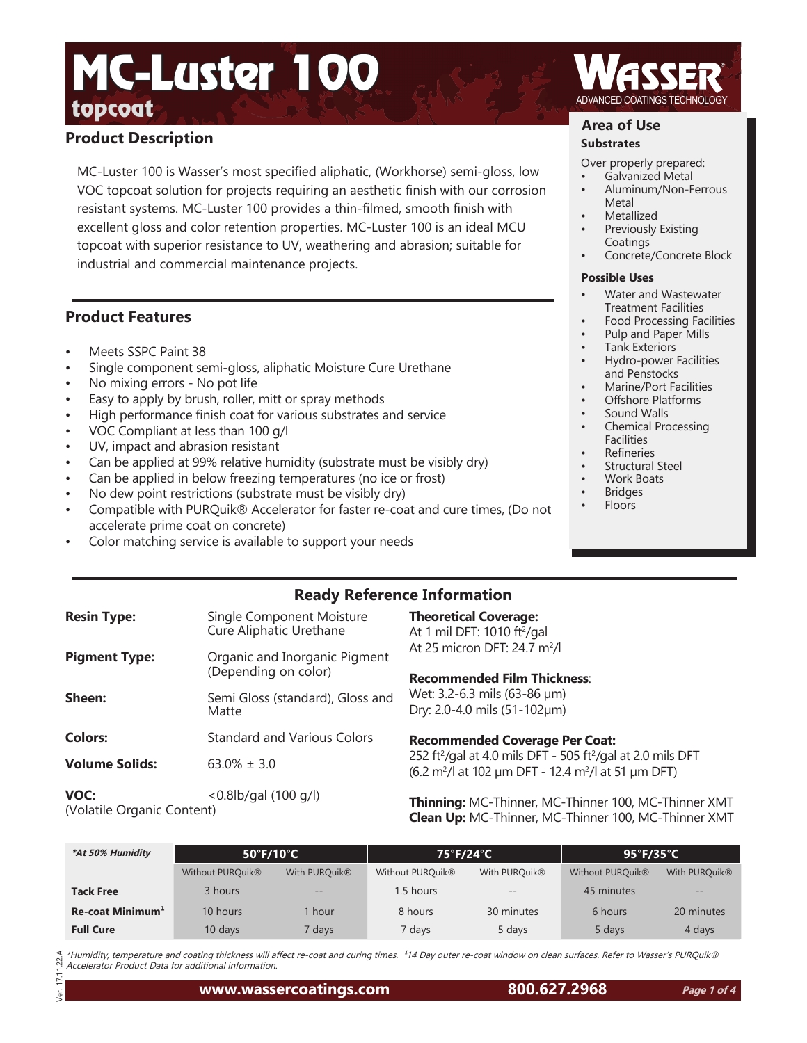# topcoat<sub>ing</sub> the state of the state of the state of the state of the state of the state of the state of the state of the state of the state of the state of the state of the state of the state of the state of the state of t MC-Luster 100

# **Product Description**

MC-Luster 100 is Wasser's most specified aliphatic, (Workhorse) semi-gloss, low VOC topcoat solution for projects requiring an aesthetic finish with our corrosion resistant systems. MC-Luster 100 provides a thin-filmed, smooth finish with excellent gloss and color retention properties. MC-Luster 100 is an ideal MCU topcoat with superior resistance to UV, weathering and abrasion; suitable for industrial and commercial maintenance projects.

## **Product Features**

- Meets SSPC Paint 38
- Single component semi-gloss, aliphatic Moisture Cure Urethane
- No mixing errors No pot life
- Easy to apply by brush, roller, mitt or spray methods
- High performance finish coat for various substrates and service
- VOC Compliant at less than 100 g/l
- UV, impact and abrasion resistant
- Can be applied at 99% relative humidity (substrate must be visibly dry)
- Can be applied in below freezing temperatures (no ice or frost)
- No dew point restrictions (substrate must be visibly dry)
- Compatible with PURQuik® Accelerator for faster re-coat and cure times, (Do not accelerate prime coat on concrete)
- Color matching service is available to support your needs

## **Area of Use**

#### **Substrates**

Over properly prepared:

- Galvanized Metal
- Aluminum/Non-Ferrous Metal
- **Metallized**
- Previously Existing Coatings
- Concrete/Concrete Block

#### **Possible Uses**

- Water and Wastewater Treatment Facilities
- Food Processing Facilities
- Pulp and Paper Mills
- Tank Exteriors
- Hydro-power Facilities and Penstocks
- Marine/Port Facilities
- Offshore Platforms
- Sound Walls • Chemical Processing Facilities
- **Refineries**
- Structural Steel
- Work Boats
- **Bridges**
- Floors

# **Ready Reference Information**

| <b>Resin Type:</b>    | Single Component Moisture<br>Cure Aliphatic Urethane  | <b>Theoretical Coverage:</b><br>At 1 mil DFT: 1010 ft <sup>2</sup> /gal                                                                                         |
|-----------------------|-------------------------------------------------------|-----------------------------------------------------------------------------------------------------------------------------------------------------------------|
| <b>Pigment Type:</b>  | Organic and Inorganic Pigment<br>(Depending on color) | At 25 micron DFT: 24.7 m <sup>2</sup> /l<br><b>Recommended Film Thickness:</b>                                                                                  |
| Sheen:                | Semi Gloss (standard), Gloss and<br>Matte             | Wet: 3.2-6.3 mils (63-86 µm)<br>Dry: 2.0-4.0 mils (51-102µm)                                                                                                    |
| <b>Colors:</b>        | <b>Standard and Various Colors</b>                    | <b>Recommended Coverage Per Coat:</b>                                                                                                                           |
| <b>Volume Solids:</b> | $63.0\% \pm 3.0$                                      | 252 ft <sup>2</sup> /gal at 4.0 mils DFT - 505 ft <sup>2</sup> /gal at 2.0 mils DFT<br>$(6.2 \text{ m}^2)$ at 102 µm DFT - 12.4 m <sup>2</sup> /l at 51 µm DFT) |
| VOC:<br>$A \cup A$    | $< 0.8$ lb/gal (100 g/l)                              | Thinning: MC-Thinner, MC-Thinner 100, MC-Thinner XN                                                                                                             |

(Volatile Organic Content)

Ver. 17.11.22.A

 $11.22A$ E Jer.

**Thinning:** MC-Thinner, MC-Thinner 100, MC-Thinner XMT **Clean Up:** MC-Thinner, MC-Thinner 100, MC-Thinner XMT

| *At 50% Humidity             | 50°F/10°C                    |                   | 75°F/24°C                    |                   | $95^{\circ}$ F/35 $^{\circ}$ C |                   |
|------------------------------|------------------------------|-------------------|------------------------------|-------------------|--------------------------------|-------------------|
|                              | Without PURQuik <sup>®</sup> | With PURQuik®     | Without PURQuik <sup>®</sup> | With PURQuik®     | Without PURQuik®               | With PURQuik®     |
| <b>Tack Free</b>             | 3 hours                      | $\qquad \qquad -$ | 1.5 hours                    | $\qquad \qquad -$ | 45 minutes                     | $\qquad \qquad -$ |
| Re-coat Minimum <sup>1</sup> | 10 hours                     | hour              | 8 hours                      | 30 minutes        | 6 hours                        | 20 minutes        |
| <b>Full Cure</b>             | 10 days                      | ' days            | 7 days                       | 5 days            | 5 days                         | 4 days            |

\*Humidity, temperature and coating thickness will affect re-coat and curing times. <sup>1</sup>14 Day outer re-coat window on clean surfaces. Refer to Wasser's PURQuik® Accelerator Product Data for additional information.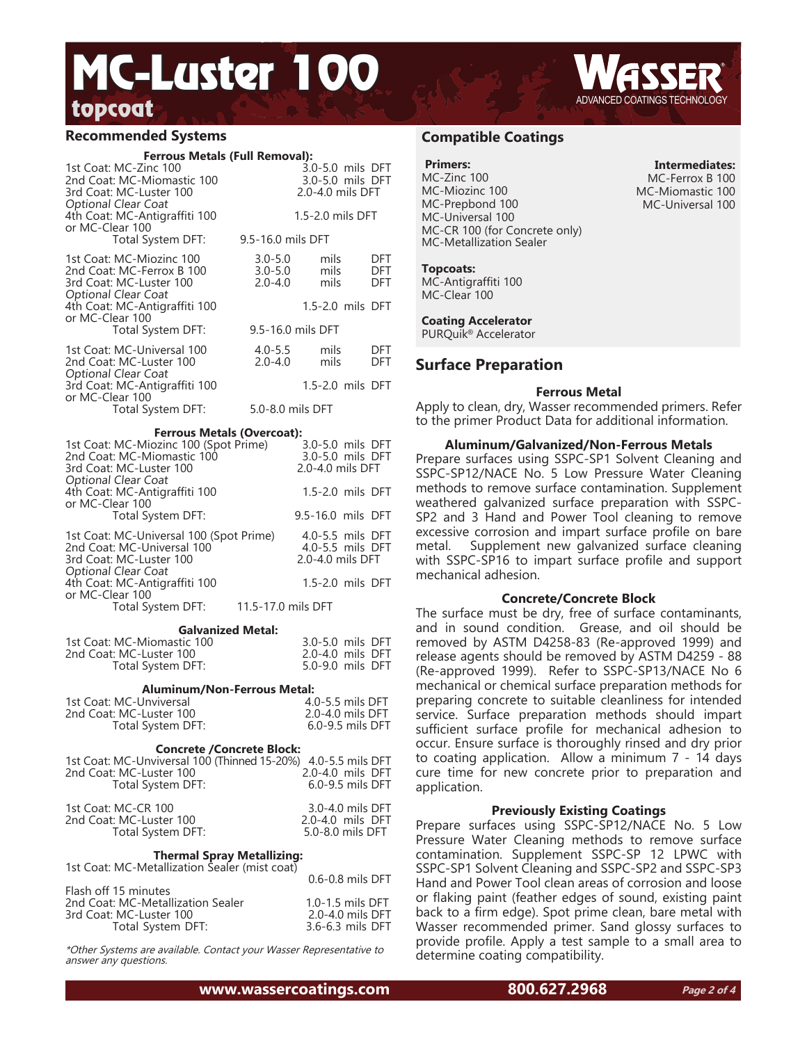# topcoat<sub>ing</sub> the state of the state of the state of the state of the state of the state of the state of the state of the state of the state of the state of the state of the state of the state of the state of the state of t MC-Luster 100

### **Recommended Systems**

| <b>Ferrous Metals (Full Removal):</b><br>1st Coat: MC-Zinc 100<br>2nd Coat: MC-Miomastic 100<br>3rd Coat: MC-Luster 100<br>Optional Clear Coat | 3.0-5.0 mils DFT<br>3.0-5.0 mils DFT<br>2.0-4.0 mils DFT |                                                          |  |
|------------------------------------------------------------------------------------------------------------------------------------------------|----------------------------------------------------------|----------------------------------------------------------|--|
| 4th Coat: MC-Antigraffiti 100<br>or MC-Clear 100                                                                                               |                                                          | 1.5-2.0 mils DFT                                         |  |
| Total System DFT:                                                                                                                              | 9.5-16.0 mils DFT                                        |                                                          |  |
| 1st Coat: MC-Miozinc 100<br>2nd Coat: MC-Ferrox B 100<br>3rd Coat: MC-Luster 100<br>Optional Clear Coat                                        | $3.0 - 5.0$<br>$3.0 - 5.0$<br>$2.0 - 4.0$                | mils<br>DFT<br>mils<br>DFT<br>mils<br>DFT                |  |
| 4th Coat: MC-Antigraffiti 100<br>or MC-Clear 100                                                                                               |                                                          | 1.5-2.0 mils DFT                                         |  |
| Total System DFT:                                                                                                                              |                                                          | 9.5-16.0 mils DFT                                        |  |
| 1st Coat: MC-Universal 100<br>2nd Coat: MC-Luster 100                                                                                          | $4.0 - 5.5$<br>$2.0 - 4.0$                               | mils<br>DFT<br>mils<br>DFT                               |  |
| Optional Clear Coat<br>3rd Coat: MC-Antigraffiti 100<br>or MC-Clear 100                                                                        |                                                          | 1.5-2.0 mils DFT                                         |  |
| Total System DFT:                                                                                                                              | 5.0-8.0 mils DFT                                         |                                                          |  |
| <b>Ferrous Metals (Overcoat):</b>                                                                                                              |                                                          |                                                          |  |
| 1st Coat: MC-Miozinc 100 (Spot Prime)<br>2nd Coat: MC-Miomastic 100<br>3rd Coat: MC-Luster 100<br>Optional Clear Coat                          |                                                          | 3.0-5.0 mils DFT<br>3.0-5.0 mils DFT<br>2.0-4.0 mils DFT |  |
| 4th Coat: MC-Antigraffiti 100<br>or MC-Clear 100                                                                                               |                                                          | 1.5-2.0 mils DFT                                         |  |
| Total System DFT:                                                                                                                              |                                                          | 9.5-16.0 mils DFT                                        |  |
| 1st Coat: MC-Universal 100 (Spot Prime)<br>2nd Coat: MC-Universal 100<br>3rd Coat: MC-Luster 100<br>Optional Clear Coat                        |                                                          | 4.0-5.5 mils DFT<br>4.0-5.5 mils DFT<br>2.0-4.0 mils DFT |  |
| 4th Coat: MC-Antigraffiti 100<br>or MC-Clear 100                                                                                               |                                                          | 1.5-2.0 mils DFT                                         |  |
| Total System DFT:                                                                                                                              | 11.5-17.0 mils DFT                                       |                                                          |  |

**Galvanized Metal:**

| 1st Coat: MC-Miomastic 100 | 3.0-5.0 mils DFT |  |
|----------------------------|------------------|--|
| 2nd Coat: MC-Luster 100    | 2.0-4.0 mils DFT |  |
| Total System DFT:          | 5.0-9.0 mils DFT |  |

#### **Aluminum/Non-Ferrous Metal:**

| 1st Coat: MC-Unviversal | 4.0-5.5 mils DFT     |
|-------------------------|----------------------|
| 2nd Coat: MC-Luster 100 | 2.0-4.0 mils DFT     |
| Total System DFT:       | $6.0 - 9.5$ mils DFT |

#### **Concrete /Concrete Block:**

| 1st Coat: MC-Unviversal 100 (Thinned 15-20%) 4.0-5.5 mils DFT |                      |
|---------------------------------------------------------------|----------------------|
| 2nd Coat: MC-Luster 100                                       | 2.0-4.0 mils DFT     |
| Total System DFT:                                             | $6.0 - 9.5$ mils DFT |
|                                                               |                      |

| 1st Coat: MC-CR 100     | 3.0-4.0 mils DFT |
|-------------------------|------------------|
| 2nd Coat: MC-Luster 100 | 2.0-4.0 mils DFT |
| Total System DFT:       | 5.0-8.0 mils DFT |

#### **Thermal Spray Metallizing:**

| 1st Coat: MC-Metallization Sealer (mist coat) |                      |
|-----------------------------------------------|----------------------|
|                                               | $0.6 - 0.8$ mils DFT |
| Flash off 15 minutes                          |                      |
| 2nd Coat: MC-Metallization Sealer             | $1.0 - 1.5$ mils DFT |
| 3rd Coat: MC-Luster 100                       | 2.0-4.0 mils DFT     |
| Total System DFT:                             | 3.6-6.3 mils DFT     |

\*Other Systems are available. Contact your Wasser Representative to answer any questions.

**www.wassercoatings.com 800.627.2968**

## **Compatible Coatings**

#### **Primers:**

MC-Zinc 100 MC-Miozinc 100 MC-Prepbond 100 MC-Universal 100 MC-CR 100 (for Concrete only) MC-Metallization Sealer

**Intermediates:** MC-Ferrox B 100 MC-Miomastic 100 MC-Universal 100

#### **Topcoats:**

MC-Antigraffiti 100 MC-Clear 100

**Coating Accelerator** PURQuik® Accelerator

## **Surface Preparation**

#### **Ferrous Metal**

Apply to clean, dry, Wasser recommended primers. Refer to the primer Product Data for additional information.

#### **Aluminum/Galvanized/Non-Ferrous Metals**

Prepare surfaces using SSPC-SP1 Solvent Cleaning and SSPC-SP12/NACE No. 5 Low Pressure Water Cleaning methods to remove surface contamination. Supplement weathered galvanized surface preparation with SSPC-SP2 and 3 Hand and Power Tool cleaning to remove excessive corrosion and impart surface profile on bare metal. Supplement new galvanized surface cleaning with SSPC-SP16 to impart surface profile and support mechanical adhesion.

#### **Concrete/Concrete Block**

The surface must be dry, free of surface contaminants, and in sound condition. Grease, and oil should be removed by ASTM D4258-83 (Re-approved 1999) and release agents should be removed by ASTM D4259 - 88 (Re-approved 1999). Refer to SSPC-SP13/NACE No 6 mechanical or chemical surface preparation methods for preparing concrete to suitable cleanliness for intended service. Surface preparation methods should impart sufficient surface profile for mechanical adhesion to occur. Ensure surface is thoroughly rinsed and dry prior to coating application. Allow a minimum 7 - 14 days cure time for new concrete prior to preparation and application.

#### **Previously Existing Coatings**

Prepare surfaces using SSPC-SP12/NACE No. 5 Low Pressure Water Cleaning methods to remove surface contamination. Supplement SSPC-SP 12 LPWC with SSPC-SP1 Solvent Cleaning and SSPC-SP2 and SSPC-SP3 Hand and Power Tool clean areas of corrosion and loose or flaking paint (feather edges of sound, existing paint back to a firm edge). Spot prime clean, bare metal with Wasser recommended primer. Sand glossy surfaces to provide profile. Apply a test sample to a small area to determine coating compatibility.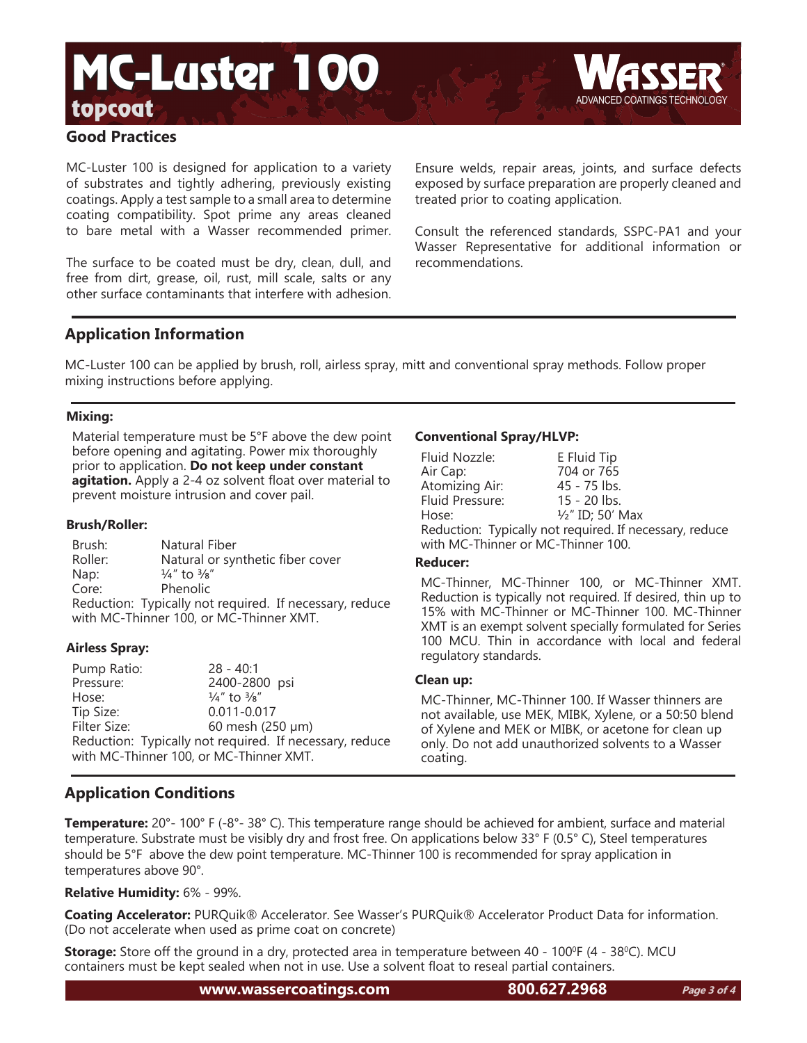# topcoat MC-Luster 100



## **Good Practices**

MC-Luster 100 is designed for application to a variety of substrates and tightly adhering, previously existing coatings. Apply a test sample to a small area to determine coating compatibility. Spot prime any areas cleaned to bare metal with a Wasser recommended primer.

The surface to be coated must be dry, clean, dull, and free from dirt, grease, oil, rust, mill scale, salts or any other surface contaminants that interfere with adhesion.

Ensure welds, repair areas, joints, and surface defects exposed by surface preparation are properly cleaned and treated prior to coating application.

Consult the referenced standards, SSPC-PA1 and your Wasser Representative for additional information or recommendations.

## **Application Information**

MC-Luster 100 can be applied by brush, roll, airless spray, mitt and conventional spray methods. Follow proper mixing instructions before applying.

## **Mixing:**

Material temperature must be 5°F above the dew point before opening and agitating. Power mix thoroughly prior to application. **Do not keep under constant agitation.** Apply a 2-4 oz solvent float over material to prevent moisture intrusion and cover pail.

### **Brush/Roller:**

| Brush:                                  | Natural Fiber                                           |  |  |
|-----------------------------------------|---------------------------------------------------------|--|--|
| Roller:                                 | Natural or synthetic fiber cover                        |  |  |
| Nap:                                    | $\frac{1}{4}$ " to $\frac{3}{8}$ "                      |  |  |
| Core:                                   | <b>Phenolic</b>                                         |  |  |
|                                         | Reduction: Typically not required. If necessary, reduce |  |  |
| with MC-Thinner 100, or MC-Thinner XMT. |                                                         |  |  |

## **Airless Spray:**

Pump Ratio: 28 - 40:1 2400-2800 psi Hose:  $\frac{1}{4}$ " to  $\frac{3}{8}$ " Tip Size: 0.011-0.017 Filter Size: 60 mesh (250 μm) Reduction: Typically not required. If necessary, reduce with MC-Thinner 100, or MC-Thinner XMT.

## **Conventional Spray/HLVP:**

| Fluid Nozzle:                                           | E Fluid Tip                 |  |  |
|---------------------------------------------------------|-----------------------------|--|--|
| Air Cap:                                                | 704 or 765                  |  |  |
| Atomizing Air:                                          | 45 - 75 lbs.                |  |  |
| Fluid Pressure:                                         | 15 - 20 lbs.                |  |  |
| Hose:                                                   | $\frac{1}{2}$ " ID; 50' Max |  |  |
| Reduction: Typically not required. If necessary, reduce |                             |  |  |
| with MC-Thinner or MC-Thinner 100.                      |                             |  |  |

### **Reducer:**

MC-Thinner, MC-Thinner 100, or MC-Thinner XMT. Reduction is typically not required. If desired, thin up to 15% with MC-Thinner or MC-Thinner 100. MC-Thinner XMT is an exempt solvent specially formulated for Series 100 MCU. Thin in accordance with local and federal regulatory standards.

#### **Clean up:**

MC-Thinner, MC-Thinner 100. If Wasser thinners are not available, use MEK, MIBK, Xylene, or a 50:50 blend of Xylene and MEK or MIBK, or acetone for clean up only. Do not add unauthorized solvents to a Wasser coating.

# **Application Conditions**

**Temperature:** 20°- 100° F (-8°- 38° C). This temperature range should be achieved for ambient, surface and material temperature. Substrate must be visibly dry and frost free. On applications below 33° F (0.5° C), Steel temperatures should be 5°F above the dew point temperature. MC-Thinner 100 is recommended for spray application in temperatures above 90°.

## **Relative Humidity:** 6% - 99%.

**Coating Accelerator:** PURQuik® Accelerator. See Wasser's PURQuik® Accelerator Product Data for information. (Do not accelerate when used as prime coat on concrete)

**Storage:** Store off the ground in a dry, protected area in temperature between 40 - 100<sup>o</sup>F (4 - 38<sup>o</sup>C). MCU containers must be kept sealed when not in use. Use a solvent float to reseal partial containers.

**www.wassercoatings.com 800.627.2968**